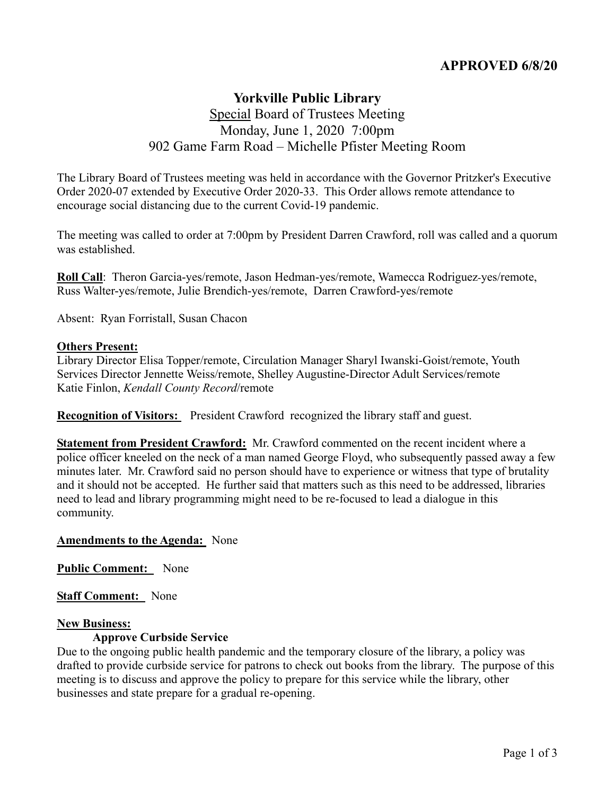# **APPROVED 6/8/20**

# **Yorkville Public Library** Special Board of Trustees Meeting Monday, June 1, 2020 7:00pm 902 Game Farm Road – Michelle Pfister Meeting Room

The Library Board of Trustees meeting was held in accordance with the Governor Pritzker's Executive Order 2020-07 extended by Executive Order 2020-33. This Order allows remote attendance to encourage social distancing due to the current Covid-19 pandemic.

The meeting was called to order at 7:00pm by President Darren Crawford, roll was called and a quorum was established.

**Roll Call**: Theron Garcia-yes/remote, Jason Hedman-yes/remote, Wamecca Rodriguez-yes/remote, Russ Walter-yes/remote, Julie Brendich-yes/remote, Darren Crawford-yes/remote

Absent: Ryan Forristall, Susan Chacon

### **Others Present:**

Library Director Elisa Topper/remote, Circulation Manager Sharyl Iwanski-Goist/remote, Youth Services Director Jennette Weiss/remote, Shelley Augustine-Director Adult Services/remote Katie Finlon, *Kendall County Record*/remote

**Recognition of Visitors:** President Crawford recognized the library staff and guest.

**Statement from President Crawford:** Mr. Crawford commented on the recent incident where a police officer kneeled on the neck of a man named George Floyd, who subsequently passed away a few minutes later. Mr. Crawford said no person should have to experience or witness that type of brutality and it should not be accepted. He further said that matters such as this need to be addressed, libraries need to lead and library programming might need to be re-focused to lead a dialogue in this community.

#### **Amendments to the Agenda:** None

**Public Comment:** None

**Staff Comment:** None

#### **New Business:**

#### **Approve Curbside Service**

Due to the ongoing public health pandemic and the temporary closure of the library, a policy was drafted to provide curbside service for patrons to check out books from the library. The purpose of this meeting is to discuss and approve the policy to prepare for this service while the library, other businesses and state prepare for a gradual re-opening.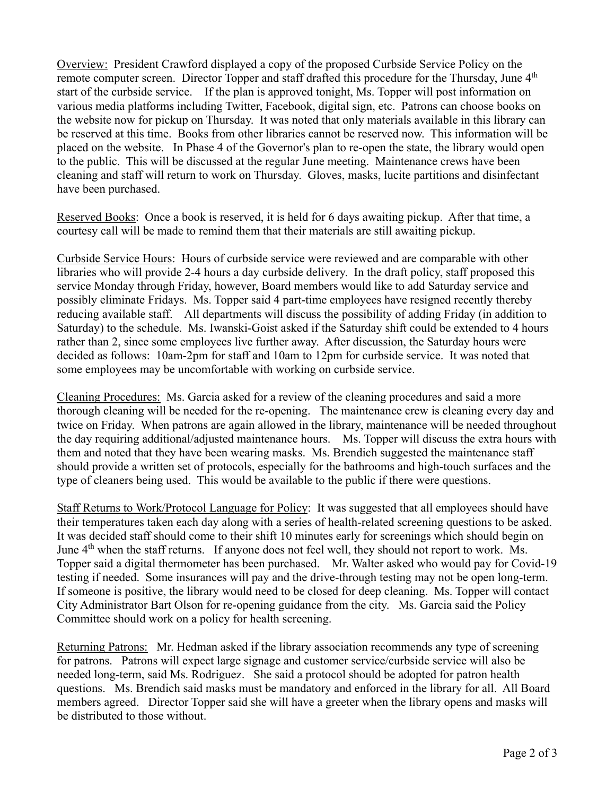Overview: President Crawford displayed a copy of the proposed Curbside Service Policy on the remote computer screen. Director Topper and staff drafted this procedure for the Thursday, June 4<sup>th</sup> start of the curbside service. If the plan is approved tonight, Ms. Topper will post information on various media platforms including Twitter, Facebook, digital sign, etc. Patrons can choose books on the website now for pickup on Thursday. It was noted that only materials available in this library can be reserved at this time. Books from other libraries cannot be reserved now. This information will be placed on the website. In Phase 4 of the Governor's plan to re-open the state, the library would open to the public. This will be discussed at the regular June meeting. Maintenance crews have been cleaning and staff will return to work on Thursday. Gloves, masks, lucite partitions and disinfectant have been purchased.

Reserved Books: Once a book is reserved, it is held for 6 days awaiting pickup. After that time, a courtesy call will be made to remind them that their materials are still awaiting pickup.

Curbside Service Hours: Hours of curbside service were reviewed and are comparable with other libraries who will provide 2-4 hours a day curbside delivery. In the draft policy, staff proposed this service Monday through Friday, however, Board members would like to add Saturday service and possibly eliminate Fridays. Ms. Topper said 4 part-time employees have resigned recently thereby reducing available staff. All departments will discuss the possibility of adding Friday (in addition to Saturday) to the schedule. Ms. Iwanski-Goist asked if the Saturday shift could be extended to 4 hours rather than 2, since some employees live further away. After discussion, the Saturday hours were decided as follows: 10am-2pm for staff and 10am to 12pm for curbside service. It was noted that some employees may be uncomfortable with working on curbside service.

Cleaning Procedures: Ms. Garcia asked for a review of the cleaning procedures and said a more thorough cleaning will be needed for the re-opening. The maintenance crew is cleaning every day and twice on Friday. When patrons are again allowed in the library, maintenance will be needed throughout the day requiring additional/adjusted maintenance hours. Ms. Topper will discuss the extra hours with them and noted that they have been wearing masks. Ms. Brendich suggested the maintenance staff should provide a written set of protocols, especially for the bathrooms and high-touch surfaces and the type of cleaners being used. This would be available to the public if there were questions.

Staff Returns to Work/Protocol Language for Policy: It was suggested that all employees should have their temperatures taken each day along with a series of health-related screening questions to be asked. It was decided staff should come to their shift 10 minutes early for screenings which should begin on June 4<sup>th</sup> when the staff returns. If anyone does not feel well, they should not report to work. Ms. Topper said a digital thermometer has been purchased. Mr. Walter asked who would pay for Covid-19 testing if needed. Some insurances will pay and the drive-through testing may not be open long-term. If someone is positive, the library would need to be closed for deep cleaning. Ms. Topper will contact City Administrator Bart Olson for re-opening guidance from the city. Ms. Garcia said the Policy Committee should work on a policy for health screening.

Returning Patrons: Mr. Hedman asked if the library association recommends any type of screening for patrons. Patrons will expect large signage and customer service/curbside service will also be needed long-term, said Ms. Rodriguez. She said a protocol should be adopted for patron health questions. Ms. Brendich said masks must be mandatory and enforced in the library for all. All Board members agreed. Director Topper said she will have a greeter when the library opens and masks will be distributed to those without.